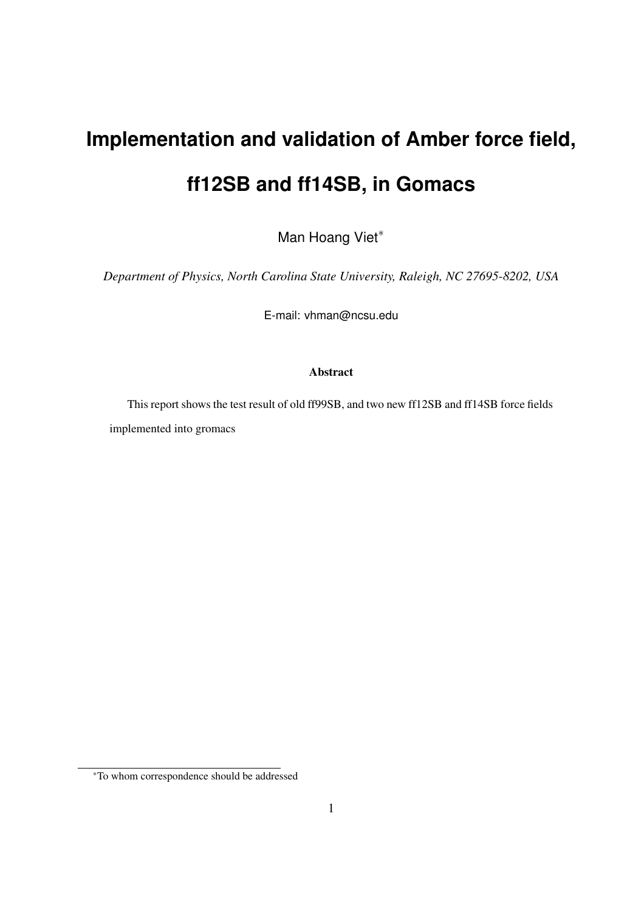## **Implementation and validation of Amber force field, ff12SB and ff14SB, in Gomacs**

Man Hoang Viet<sup>\*</sup>

*Department of Physics, North Carolina State University, Raleigh, NC 27695-8202, USA*

E-mail: vhman@ncsu.edu

## Abstract

This report shows the test result of old ff99SB, and two new ff12SB and ff14SB force fields implemented into gromacs

<sup>∗</sup>To whom correspondence should be addressed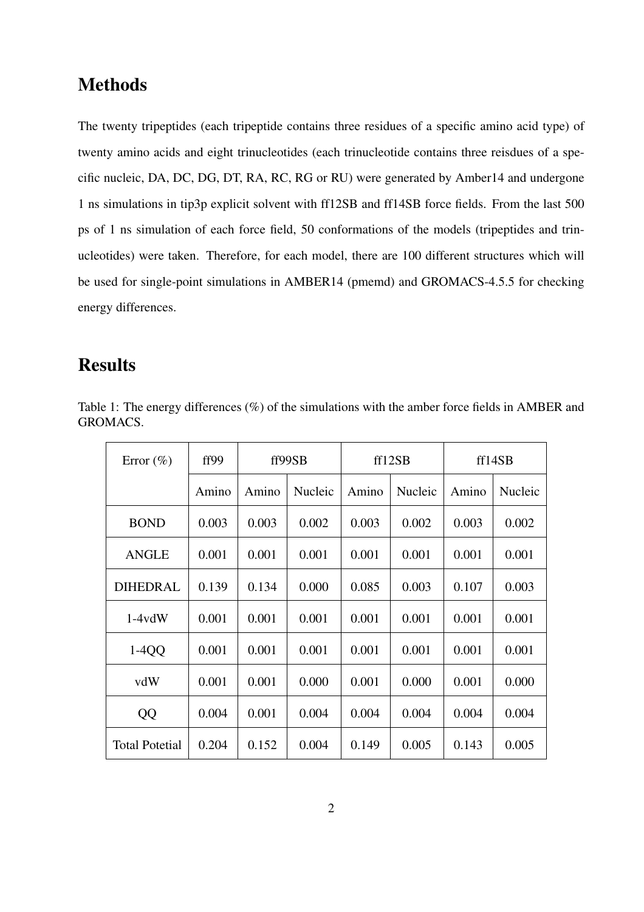## Methods

The twenty tripeptides (each tripeptide contains three residues of a specific amino acid type) of twenty amino acids and eight trinucleotides (each trinucleotide contains three reisdues of a specific nucleic, DA, DC, DG, DT, RA, RC, RG or RU) were generated by Amber14 and undergone 1 ns simulations in tip3p explicit solvent with ff12SB and ff14SB force fields. From the last 500 ps of 1 ns simulation of each force field, 50 conformations of the models (tripeptides and trinucleotides) were taken. Therefore, for each model, there are 100 different structures which will be used for single-point simulations in AMBER14 (pmemd) and GROMACS-4.5.5 for checking energy differences.

## Results

| Table 1: The energy differences $(\%)$ of the simulations with the amber force fields in AMBER and |  |  |  |
|----------------------------------------------------------------------------------------------------|--|--|--|
| GROMACS.                                                                                           |  |  |  |

| Error $(\% )$         | ff99  | ff99SB |         | ff12SB |         | ff14SB |         |
|-----------------------|-------|--------|---------|--------|---------|--------|---------|
|                       | Amino | Amino  | Nucleic | Amino  | Nucleic | Amino  | Nucleic |
| <b>BOND</b>           | 0.003 | 0.003  | 0.002   | 0.003  | 0.002   | 0.003  | 0.002   |
| <b>ANGLE</b>          | 0.001 | 0.001  | 0.001   | 0.001  | 0.001   | 0.001  | 0.001   |
| DIHEDRAL              | 0.139 | 0.134  | 0.000   | 0.085  | 0.003   | 0.107  | 0.003   |
| $1-4vdW$              | 0.001 | 0.001  | 0.001   | 0.001  | 0.001   | 0.001  | 0.001   |
| $1-4QQ$               | 0.001 | 0.001  | 0.001   | 0.001  | 0.001   | 0.001  | 0.001   |
| vdW                   | 0.001 | 0.001  | 0.000   | 0.001  | 0.000   | 0.001  | 0.000   |
| QQ                    | 0.004 | 0.001  | 0.004   | 0.004  | 0.004   | 0.004  | 0.004   |
| <b>Total Potetial</b> | 0.204 | 0.152  | 0.004   | 0.149  | 0.005   | 0.143  | 0.005   |